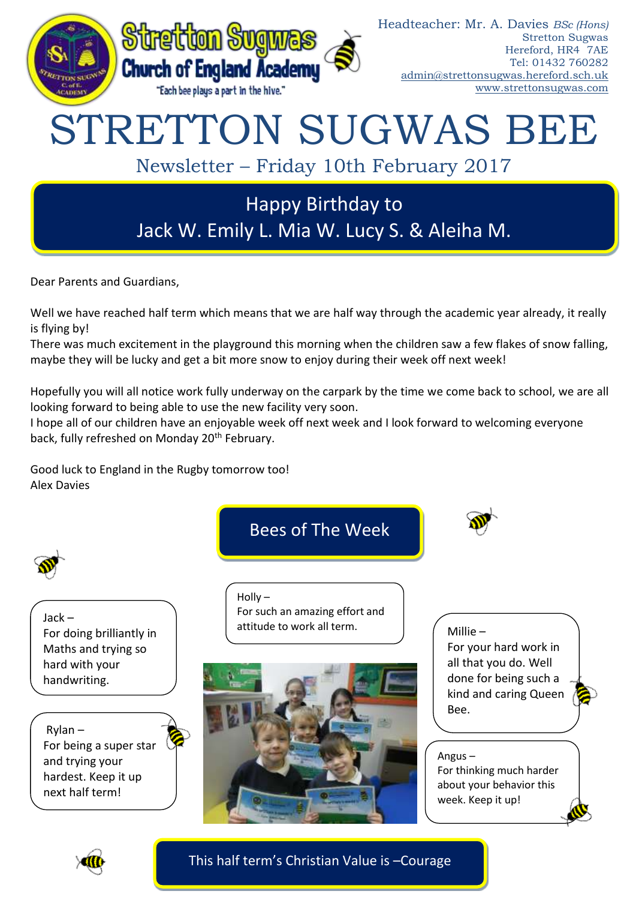

Dear Parents and Guardians,

Well we have reached half term which means that we are half way through the academic year already, it really is flying by!

There was much excitement in the playground this morning when the children saw a few flakes of snow falling, maybe they will be lucky and get a bit more snow to enjoy during their week off next week!

Hopefully you will all notice work fully underway on the carpark by the time we come back to school, we are all looking forward to being able to use the new facility very soon.

I hope all of our children have an enjoyable week off next week and I look forward to welcoming everyone back, fully refreshed on Monday 20<sup>th</sup> February.

Good luck to England in the Rugby tomorrow too! Alex Davies







Jack – For doing brilliantly in Maths and trying so hard with your handwriting.

Rylan – For being a super star and trying your hardest. Keep it up next half term!

Holly – For such an amazing effort and attitude to work all term.



# Millie –

For your hard work in all that you do. Well done for being such a kind and caring Queen Bee.

Angus – For thinking much harder about your behavior this week. Keep it up!



This half term's Christian Value is –Courage